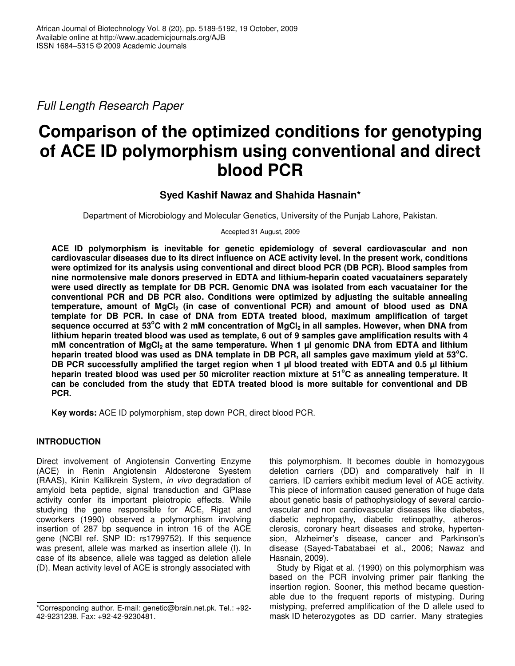*Full Length Research Paper*

# **Comparison of the optimized conditions for genotyping of ACE ID polymorphism using conventional and direct blood PCR**

## **Syed Kashif Nawaz and Shahida Hasnain\***

Department of Microbiology and Molecular Genetics, University of the Punjab Lahore, Pakistan.

Accepted 31 August, 2009

**ACE ID polymorphism is inevitable for genetic epidemiology of several cardiovascular and non cardiovascular diseases due to its direct influence on ACE activity level. In the present work, conditions were optimized for its analysis using conventional and direct blood PCR (DB PCR). Blood samples from nine normotensive male donors preserved in EDTA and lithium-heparin coated vacuatainers separately were used directly as template for DB PCR. Genomic DNA was isolated from each vacuatainer for the conventional PCR and DB PCR also. Conditions were optimized by adjusting the suitable annealing temperature, amount of MgCl<sup>2</sup> (in case of conventional PCR) and amount of blood used as DNA template for DB PCR. In case of DNA from EDTA treated blood, maximum amplification of target** sequence occurred at 53°C with 2 mM concentration of MgCl<sub>2</sub> in all samples. However, when DNA from lithium heparin treated blood was used as template, 6 out of 9 samples gave amplification results with 4 **mM concentration of MgCl<sup>2</sup> at the same temperature. When 1 µl genomic DNA from EDTA and lithium** heparin treated blood was used as DNA template in DB PCR, all samples gave maximum yield at 53°C. DB PCR successfully amplified the target region when 1 µl blood treated with EDTA and 0.5 µl lithium heparin treated blood was used per 50 microliter reaction mixture at 51°C as annealing temperature. It **can be concluded from the study that EDTA treated blood is more suitable for conventional and DB PCR.**

**Key words:** ACE ID polymorphism, step down PCR, direct blood PCR.

## **INTRODUCTION**

Direct involvement of Angiotensin Converting Enzyme (ACE) in Renin Angiotensin Aldosterone Syestem (RAAS), Kinin Kallikrein System, *in vivo* degradation of amyloid beta peptide, signal transduction and GPIase activity confer its important pleiotropic effects. While studying the gene responsible for ACE, Rigat and coworkers (1990) observed a polymorphism involving insertion of 287 bp sequence in intron 16 of the ACE gene (NCBI ref. SNP ID: rs1799752). If this sequence was present, allele was marked as insertion allele (I). In case of its absence, allele was tagged as deletion allele (D). Mean activity level of ACE is strongly associated with

this polymorphism. It becomes double in homozygous deletion carriers (DD) and comparatively half in II carriers. ID carriers exhibit medium level of ACE activity. This piece of information caused generation of huge data about genetic basis of pathophysiology of several cardiovascular and non cardiovascular diseases like diabetes, diabetic nephropathy, diabetic retinopathy, atherosclerosis, coronary heart diseases and stroke, hypertension, Alzheimer's disease, cancer and Parkinson's disease (Sayed-Tabatabaei et al., 2006; Nawaz and Hasnain, 2009).

Study by Rigat et al. (1990) on this polymorphism was based on the PCR involving primer pair flanking the insertion region. Sooner, this method became questionable due to the frequent reports of mistyping. During mistyping, preferred amplification of the D allele used to mask ID heterozygotes as DD carrier. Many strategies

<sup>\*</sup>Corresponding author. E-mail: genetic@brain.net.pk. Tel.: +92- 42-9231238. Fax: +92-42-9230481.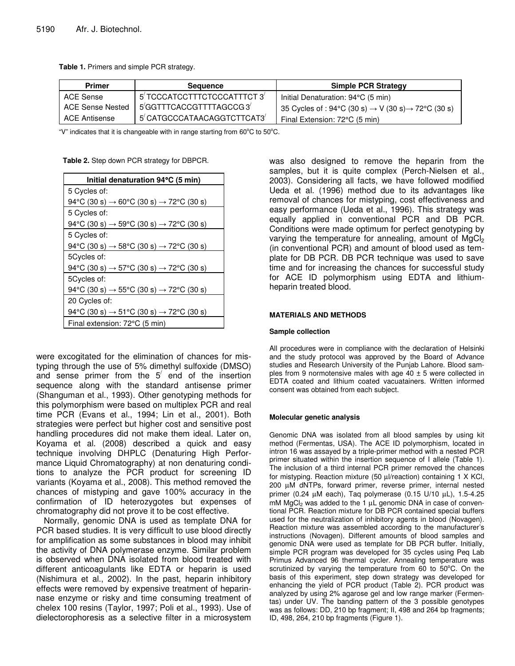**Table 1.** Primers and simple PCR strategy.

| <b>Primer</b>    | Sequence                     | <b>Simple PCR Strategy</b>                                                    |  |  |
|------------------|------------------------------|-------------------------------------------------------------------------------|--|--|
| ACE Sense        | 5' TCCCATCCTTTCTCCCATTTCT 3' | Initial Denaturation: 94°C (5 min)                                            |  |  |
| ACE Sense Nested | 5'GGTTTCACCGTTTTAGCCG3'      | 35 Cycles of : 94 °C (30 s) $\rightarrow$ V (30 s) $\rightarrow$ 72 °C (30 s) |  |  |
| ACE Antisense    | 5' CATGCCCATAACAGGTCTTCAT3'  | Final Extension: 72°C (5 min)                                                 |  |  |

"V" indicates that it is changeable with in range starting from  $60^{\circ}$ C to  $50^{\circ}$ C.

**Table 2.** Step down PCR strategy for DBPCR.

| Initial denaturation 94°C (5 min)                                  |  |  |  |  |  |
|--------------------------------------------------------------------|--|--|--|--|--|
| 5 Cycles of:                                                       |  |  |  |  |  |
| 94 °C (30 s) $\rightarrow$ 60 °C (30 s) $\rightarrow$ 72 °C (30 s) |  |  |  |  |  |
| 5 Cycles of:                                                       |  |  |  |  |  |
| 94°C (30 s) $\rightarrow$ 59°C (30 s) $\rightarrow$ 72°C (30 s)    |  |  |  |  |  |
| 5 Cycles of:                                                       |  |  |  |  |  |
| 94 °C (30 s) $\rightarrow$ 58 °C (30 s) $\rightarrow$ 72 °C (30 s) |  |  |  |  |  |
| 5Cycles of:                                                        |  |  |  |  |  |
| 94 °C (30 s) $\rightarrow$ 57 °C (30 s) $\rightarrow$ 72 °C (30 s) |  |  |  |  |  |
| 5Cycles of:                                                        |  |  |  |  |  |
| 94 °C (30 s) $\rightarrow$ 55 °C (30 s) $\rightarrow$ 72 °C (30 s) |  |  |  |  |  |
| 20 Cycles of:                                                      |  |  |  |  |  |
| 94°C (30 s) $\rightarrow$ 51°C (30 s) $\rightarrow$ 72°C (30 s)    |  |  |  |  |  |
| Final extension: 72°C (5 min)                                      |  |  |  |  |  |

were excogitated for the elimination of chances for mistyping through the use of 5% dimethyl sulfoxide (DMSO) and sense primer from the  $5'$  end of the insertion sequence along with the standard antisense primer (Shanguman et al., 1993). Other genotyping methods for this polymorphism were based on multiplex PCR and real time PCR (Evans et al., 1994; Lin et al., 2001). Both strategies were perfect but higher cost and sensitive post handling procedures did not make them ideal. Later on, Koyama et al. (2008) described a quick and easy technique involving DHPLC (Denaturing High Performance Liquid Chromatography) at non denaturing conditions to analyze the PCR product for screening ID variants (Koyama et al., 2008). This method removed the chances of mistyping and gave 100% accuracy in the confirmation of ID heterozygotes but expenses of chromatography did not prove it to be cost effective.

Normally, genomic DNA is used as template DNA for PCR based studies. It is very difficult to use blood directly for amplification as some substances in blood may inhibit the activity of DNA polymerase enzyme. Similar problem is observed when DNA isolated from blood treated with different anticoagulants like EDTA or heparin is used (Nishimura et al., 2002). In the past, heparin inhibitory effects were removed by expensive treatment of heparinnase enzyme or risky and time consuming treatment of chelex 100 resins (Taylor, 1997; Poli et al., 1993). Use of dielectorophoresis as a selective filter in a microsystem was also designed to remove the heparin from the samples, but it is quite complex (Perch-Nielsen et al., 2003). Considering all facts, we have followed modified Ueda et al. (1996) method due to its advantages like removal of chances for mistyping, cost effectiveness and easy performance (Ueda et al., 1996). This strategy was equally applied in conventional PCR and DB PCR. Conditions were made optimum for perfect genotyping by varying the temperature for annealing, amount of  $MgCl<sub>2</sub>$ (in conventional PCR) and amount of blood used as template for DB PCR. DB PCR technique was used to save time and for increasing the chances for successful study for ACE ID polymorphism using EDTA and lithiumheparin treated blood.

#### **MATERIALS AND METHODS**

#### **Sample collection**

All procedures were in compliance with the declaration of Helsinki and the study protocol was approved by the Board of Advance studies and Research University of the Punjab Lahore. Blood samples from 9 normotensive males with age  $40 \pm 5$  were collected in EDTA coated and lithium coated vacuatainers. Written informed consent was obtained from each subject.

#### **Molecular genetic analysis**

Genomic DNA was isolated from all blood samples by using kit method (Fermentas, USA). The ACE ID polymorphism, located in intron 16 was assayed by a triple-primer method with a nested PCR primer situated within the insertion sequence of I allele (Table 1). The inclusion of a third internal PCR primer removed the chances for mistyping. Reaction mixture (50 µl/reaction) containing 1 X KCl, 200 µM dNTPs, forward primer, reverse primer, internal nested primer (0.24 µM each), Taq polymerase (0.15 U/10 µL), 1.5-4.25  $mM MgCl<sub>2</sub>$  was added to the 1  $\mu$ L genomic DNA in case of conventional PCR. Reaction mixture for DB PCR contained special buffers used for the neutralization of inhibitory agents in blood (Novagen). Reaction mixture was assembled according to the manufacturer's instructions (Novagen). Different amounts of blood samples and genomic DNA were used as template for DB PCR buffer. Initially, simple PCR program was developed for 35 cycles using Peq Lab Primus Advanced 96 thermal cycler. Annealing temperature was scrutinized by varying the temperature from  $60$  to  $50^{\circ}$ C. On the basis of this experiment, step down strategy was developed for enhancing the yield of PCR product (Table 2). PCR product was analyzed by using 2% agarose gel and low range marker (Fermentas) under UV. The banding pattern of the 3 possible genotypes was as follows: DD, 210 bp fragment; II, 498 and 264 bp fragments; ID, 498, 264, 210 bp fragments (Figure 1).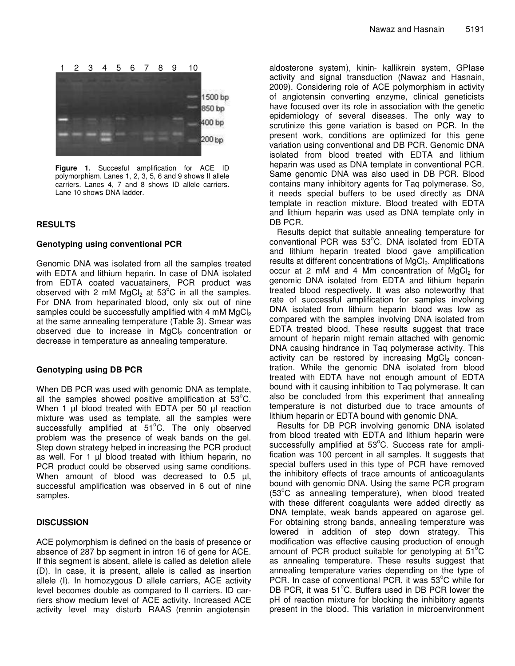

**Figure 1.** Succesful amplification for ACE ID polymorphism. Lanes 1, 2, 3, 5, 6 and 9 shows II allele carriers. Lanes 4, 7 and 8 shows ID allele carriers. Lane 10 shows DNA ladder.

## **RESULTS**

#### **Genotyping using conventional PCR**

Genomic DNA was isolated from all the samples treated with EDTA and lithium heparin. In case of DNA isolated from EDTA coated vacuatainers, PCR product was observed with 2 mM MgCl<sub>2</sub> at 53°C in all the samples. For DNA from heparinated blood, only six out of nine samples could be successfully amplified with 4 mM  $MgCl<sub>2</sub>$ at the same annealing temperature (Table 3). Smear was observed due to increase in  $MgCl<sub>2</sub>$  concentration or decrease in temperature as annealing temperature.

## **Genotyping using DB PCR**

When DB PCR was used with genomic DNA as template, all the samples showed positive amplification at  $53^{\circ}$ C. When 1 µl blood treated with EDTA per 50 µl reaction mixture was used as template, all the samples were successfully amplified at 51°C. The only observed problem was the presence of weak bands on the gel. Step down strategy helped in increasing the PCR product as well. For 1 µl blood treated with lithium heparin, no PCR product could be observed using same conditions. When amount of blood was decreased to 0.5 µl, successful amplification was observed in 6 out of nine samples.

## **DISCUSSION**

ACE polymorphism is defined on the basis of presence or absence of 287 bp segment in intron 16 of gene for ACE. If this segment is absent, allele is called as deletion allele (D). In case, it is present, allele is called as insertion allele (I). In homozygous D allele carriers, ACE activity level becomes double as compared to II carriers. ID carriers show medium level of ACE activity. Increased ACE activity level may disturb RAAS (rennin angiotensin aldosterone system), kinin- kallikrein system, GPIase activity and signal transduction (Nawaz and Hasnain, 2009). Considering role of ACE polymorphism in activity of angiotensin converting enzyme, clinical geneticists have focused over its role in association with the genetic epidemiology of several diseases. The only way to scrutinize this gene variation is based on PCR. In the present work, conditions are optimized for this gene variation using conventional and DB PCR. Genomic DNA isolated from blood treated with EDTA and lithium heparin was used as DNA template in conventional PCR. Same genomic DNA was also used in DB PCR. Blood contains many inhibitory agents for Taq polymerase. So, it needs special buffers to be used directly as DNA template in reaction mixture. Blood treated with EDTA and lithium heparin was used as DNA template only in DB PCR.

Results depict that suitable annealing temperature for conventional PCR was 53°C. DNA isolated from EDTA and lithium heparin treated blood gave amplification results at different concentrations of MgCl<sub>2</sub>. Amplifications occur at 2 mM and 4 Mm concentration of MgCl<sub>2</sub> for genomic DNA isolated from EDTA and lithium heparin treated blood respectively. It was also noteworthy that rate of successful amplification for samples involving DNA isolated from lithium heparin blood was low as compared with the samples involving DNA isolated from EDTA treated blood. These results suggest that trace amount of heparin might remain attached with genomic DNA causing hindrance in Taq polymerase activity. This activity can be restored by increasing  $MgCl<sub>2</sub>$  concentration. While the genomic DNA isolated from blood treated with EDTA have not enough amount of EDTA bound with it causing inhibition to Taq polymerase. It can also be concluded from this experiment that annealing temperature is not disturbed due to trace amounts of lithium heparin or EDTA bound with genomic DNA.

Results for DB PCR involving genomic DNA isolated from blood treated with EDTA and lithium heparin were successfully amplified at 53°C. Success rate for amplification was 100 percent in all samples. It suggests that special buffers used in this type of PCR have removed the inhibitory effects of trace amounts of anticoagulants bound with genomic DNA. Using the same PCR program (53°C as annealing temperature), when blood treated with these different coagulants were added directly as DNA template, weak bands appeared on agarose gel. For obtaining strong bands, annealing temperature was lowered in addition of step down strategy. This modification was effective causing production of enough amount of PCR product suitable for genotyping at  $51^{\circ}$ C as annealing temperature. These results suggest that annealing temperature varies depending on the type of PCR. In case of conventional PCR, it was 53°C while for DB PCR, it was 51°C. Buffers used in DB PCR lower the pH of reaction mixture for blocking the inhibitory agents present in the blood. This variation in microenvironment